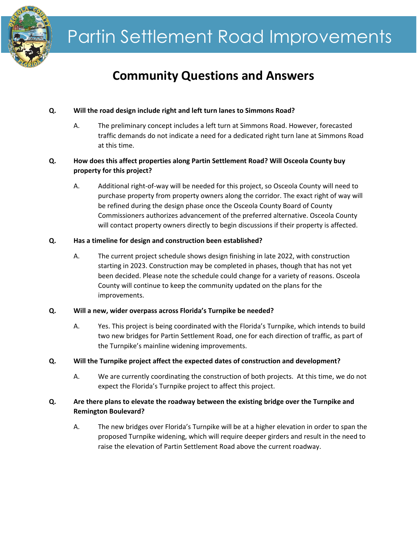

# **Community Questions and Answers**

# **Q. Will the road design include right and left turn lanes to Simmons Road?**

A. The preliminary concept includes a left turn at Simmons Road. However, forecasted traffic demands do not indicate a need for a dedicated right turn lane at Simmons Road at this time.

# **Q. How does this affect properties along Partin Settlement Road? Will Osceola County buy property for this project?**

A. Additional right-of-way will be needed for this project, so Osceola County will need to purchase property from property owners along the corridor. The exact right of way will be refined during the design phase once the Osceola County Board of County Commissioners authorizes advancement of the preferred alternative. Osceola County will contact property owners directly to begin discussions if their property is affected.

## **Q. Has a timeline for design and construction been established?**

A. The current project schedule shows design finishing in late 2022, with construction starting in 2023. Construction may be completed in phases, though that has not yet been decided. Please note the schedule could change for a variety of reasons. Osceola County will continue to keep the community updated on the plans for the improvements.

## **Q. Will a new, wider overpass across Florida's Turnpike be needed?**

- A. Yes. This project is being coordinated with the Florida's Turnpike, which intends to build two new bridges for Partin Settlement Road, one for each direction of traffic, as part of the Turnpike's mainline widening improvements.
- **Q. Will the Turnpike project affect the expected dates of construction and development?**
	- A. We are currently coordinating the construction of both projects. At this time, we do not expect the Florida's Turnpike project to affect this project.

# **Q. Are there plans to elevate the roadway between the existing bridge over the Turnpike and Remington Boulevard?**

A. The new bridges over Florida's Turnpike will be at a higher elevation in order to span the proposed Turnpike widening, which will require deeper girders and result in the need to raise the elevation of Partin Settlement Road above the current roadway.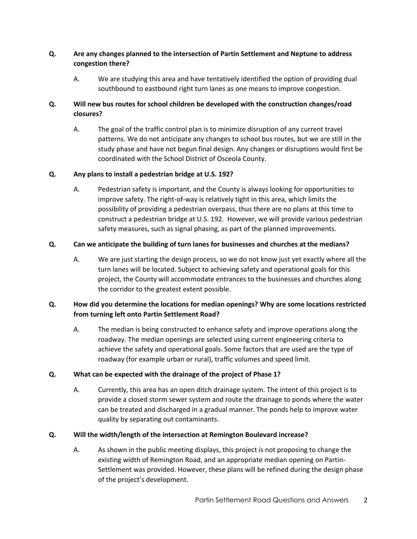# **Q. Are any changes planned to the intersection of Partin Settlement and Neptune to address congestion there?**

A. We are studying this area and have tentatively identified the option of providing dual southbound to eastbound right turn lanes as one means to improve congestion.

# **Q. Will new bus routes for school children be developed with the construction changes/road closures?**

A. The goal of the traffic control plan is to minimize disruption of any current travel patterns. We do not anticipate any changes to school bus routes, but we are still in the study phase and have not begun final design. Any changes or disruptions would first be coordinated with the School District of Osceola County.

## **Q. Any plans to install a pedestrian bridge at U.S. 192?**

A. Pedestrian safety is important, and the County is always looking for opportunities to improve safety. The right-of-way is relatively tight in this area, which limits the possibility of providing a pedestrian overpass, thus there are no plans at this time to construct a pedestrian bridge at U.S. 192. However, we will provide various pedestrian safety measures, such as signal phasing, as part of the planned improvements.

## **Q. Can we anticipate the building of turn lanes for businesses and churches at the medians?**

A. We are just starting the design process, so we do not know just yet exactly where all the turn lanes will be located. Subject to achieving safety and operational goals for this project, the County will accommodate entrances to the businesses and churches along the corridor to the greatest extent possible.

# **Q. How did you determine the locations for median openings? Why are some locations restricted from turning left onto Partin Settlement Road?**

A. The median is being constructed to enhance safety and improve operations along the roadway. The median openings are selected using current engineering criteria to achieve the safety and operational goals. Some factors that are used are the type of roadway (for example urban or rural), traffic volumes and speed limit.

## **Q. What can be expected with the drainage of the project of Phase 1?**

A. Currently, this area has an open ditch drainage system. The intent of this project is to provide a closed storm sewer system and route the drainage to ponds where the water can be treated and discharged in a gradual manner. The ponds help to improve water quality by separating out contaminants.

## **Q. Will the width/length of the intersection at Remington Boulevard increase?**

A. As shown in the public meeting displays, this project is not proposing to change the existing width of Remington Road, and an appropriate median opening on Partin-Settlement was provided. However, these plans will be refined during the design phase of the project's development.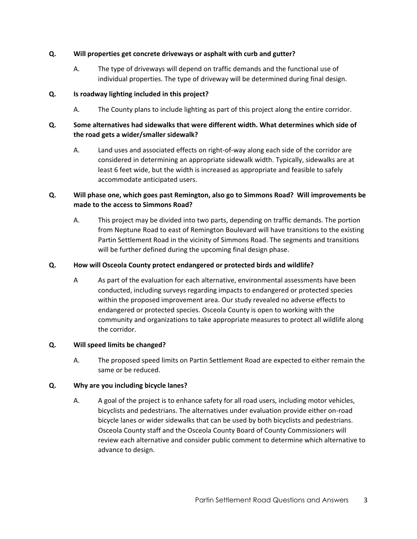#### **Q. Will properties get concrete driveways or asphalt with curb and gutter?**

A. The type of driveways will depend on traffic demands and the functional use of individual properties. The type of driveway will be determined during final design.

#### **Q. Is roadway lighting included in this project?**

A. The County plans to include lighting as part of this project along the entire corridor.

# **Q. Some alternatives had sidewalks that were different width. What determines which side of the road gets a wider/smaller sidewalk?**

A. Land uses and associated effects on right-of-way along each side of the corridor are considered in determining an appropriate sidewalk width. Typically, sidewalks are at least 6 feet wide, but the width is increased as appropriate and feasible to safely accommodate anticipated users.

# **Q. Will phase one, which goes past Remington, also go to Simmons Road? Will improvements be made to the access to Simmons Road?**

A. This project may be divided into two parts, depending on traffic demands. The portion from Neptune Road to east of Remington Boulevard will have transitions to the existing Partin Settlement Road in the vicinity of Simmons Road. The segments and transitions will be further defined during the upcoming final design phase.

#### **Q. How will Osceola County protect endangered or protected birds and wildlife?**

A As part of the evaluation for each alternative, environmental assessments have been conducted, including surveys regarding impacts to endangered or protected species within the proposed improvement area. Our study revealed no adverse effects to endangered or protected species. Osceola County is open to working with the community and organizations to take appropriate measures to protect all wildlife along the corridor.

## **Q. Will speed limits be changed?**

A. The proposed speed limits on Partin Settlement Road are expected to either remain the same or be reduced.

## **Q. Why are you including bicycle lanes?**

A. A goal of the project is to enhance safety for all road users, including motor vehicles, bicyclists and pedestrians. The alternatives under evaluation provide either on-road bicycle lanes or wider sidewalks that can be used by both bicyclists and pedestrians. Osceola County staff and the Osceola County Board of County Commissioners will review each alternative and consider public comment to determine which alternative to advance to design.